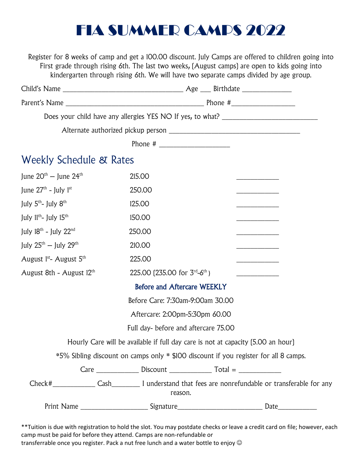## FIA SUMMER CAMPS 2022

Register for 8 weeks of camp and get a 100.00 discount. July Camps are offered to children going into First grade through rising 6th. The last two weeks, (August camps) are open to kids going into kindergarten through rising 6th. We will have two separate camps divided by age group.

|                                                 | Phone # $\frac{1}{2}$ $\frac{1}{2}$ $\frac{1}{2}$ $\frac{1}{2}$ $\frac{1}{2}$ $\frac{1}{2}$ $\frac{1}{2}$ $\frac{1}{2}$ $\frac{1}{2}$ $\frac{1}{2}$ $\frac{1}{2}$ $\frac{1}{2}$ $\frac{1}{2}$ $\frac{1}{2}$ $\frac{1}{2}$ $\frac{1}{2}$ $\frac{1}{2}$ $\frac{1}{2}$ $\frac{1}{2}$ $\frac{1}{2}$ $\frac{1}{2}$ $\frac$ |                                                                                      |
|-------------------------------------------------|-----------------------------------------------------------------------------------------------------------------------------------------------------------------------------------------------------------------------------------------------------------------------------------------------------------------------|--------------------------------------------------------------------------------------|
| <b>Weekly Schedule &amp; Rates</b>              |                                                                                                                                                                                                                                                                                                                       |                                                                                      |
| June $20^{th}$ – June $24^{th}$                 | 215.00                                                                                                                                                                                                                                                                                                                |                                                                                      |
| June $27th$ - July 1st                          | 250.00                                                                                                                                                                                                                                                                                                                |                                                                                      |
| July 5 <sup>th</sup> - July 8 <sup>th</sup>     | 125.00                                                                                                                                                                                                                                                                                                                |                                                                                      |
| July 11 <sup>th</sup> - July 15 <sup>th</sup>   | 150.00                                                                                                                                                                                                                                                                                                                |                                                                                      |
| July $18^{th}$ - July $22^{nd}$                 | 250.00                                                                                                                                                                                                                                                                                                                |                                                                                      |
| July $25^{\text{th}}$ – July $29^{\text{th}}$   | 210.00                                                                                                                                                                                                                                                                                                                |                                                                                      |
| August 1 <sup>st</sup> - August 5 <sup>th</sup> | 225.00                                                                                                                                                                                                                                                                                                                |                                                                                      |
| August 8th - August 12th                        | 225.00 (235.00 for $3^{\text{rd}} - 6^{\text{th}}$ )                                                                                                                                                                                                                                                                  |                                                                                      |
| <b>Before and Aftercare WEEKLY</b>              |                                                                                                                                                                                                                                                                                                                       |                                                                                      |
| Before Care: 7:30am-9:00am 30.00                |                                                                                                                                                                                                                                                                                                                       |                                                                                      |
| Aftercare: 2:00pm-5:30pm 60.00                  |                                                                                                                                                                                                                                                                                                                       |                                                                                      |
| Full day- before and aftercare 75.00            |                                                                                                                                                                                                                                                                                                                       |                                                                                      |
|                                                 |                                                                                                                                                                                                                                                                                                                       | Hourly Care will be available if full day care is not at capacity (5.00 an hour)     |
|                                                 |                                                                                                                                                                                                                                                                                                                       | *5% Sibling discount on camps only * \$100 discount if you register for all 8 camps. |
|                                                 | $Care  \n$                                                                                                                                                                                                                                                                                                            |                                                                                      |
| reason.                                         |                                                                                                                                                                                                                                                                                                                       |                                                                                      |
|                                                 |                                                                                                                                                                                                                                                                                                                       |                                                                                      |

\*\*Tuition is due with registration to hold the slot. You may postdate checks or leave a credit card on file; however, each camp must be paid for before they attend. Camps are non-refundable or transferrable once you register. Pack a nut free lunch and a water bottle to enjoy  $\odot$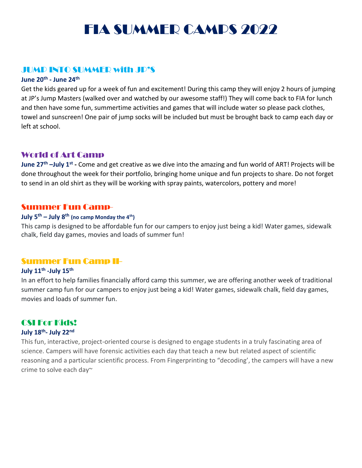## FIA SUMMER CAMPS 2022

## JUMP INTO SUMMER with JP'S

### **June 20th - June 24th**

Get the kids geared up for a week of fun and excitement! During this camp they will enjoy 2 hours of jumping at JP's Jump Masters (walked over and watched by our awesome staff!) They will come back to FIA for lunch and then have some fun, summertime activities and games that will include water so please pack clothes, towel and sunscreen! One pair of jump socks will be included but must be brought back to camp each day or left at school.

## World of Art Camp

**June 27th –July 1st -** Come and get creative as we dive into the amazing and fun world of ART! Projects will be done throughout the week for their portfolio, bringing home unique and fun projects to share. Do not forget to send in an old shirt as they will be working with spray paints, watercolors, pottery and more!

## Summer Fun Camp-

#### **July 5th – July 8th (no camp Monday the 4th)**

This camp is designed to be affordable fun for our campers to enjoy just being a kid! Water games, sidewalk chalk, field day games, movies and loads of summer fun!

#### Summer Fun Camp II-

## **July 11th -July 15th**

In an effort to help families financially afford camp this summer, we are offering another week of traditional summer camp fun for our campers to enjoy just being a kid! Water games, sidewalk chalk, field day games, movies and loads of summer fun.

## CSI For Kids!

#### **July 18th - July 22nd**

This fun, interactive, project-oriented course is designed to engage students in a truly fascinating area of science. Campers will have forensic activities each day that teach a new but related aspect of scientific reasoning and a particular scientific process. From Fingerprinting to "decoding', the campers will have a new crime to solve each day~